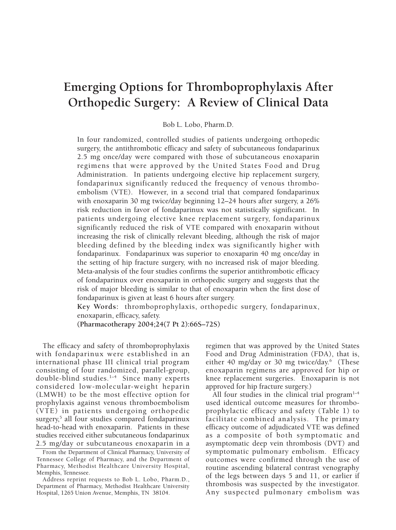# **Emerging Options for Thromboprophylaxis After Orthopedic Surgery: A Review of Clinical Data**

Bob L. Lobo, Pharm.D.

In four randomized, controlled studies of patients undergoing orthopedic surgery, the antithrombotic efficacy and safety of subcutaneous fondaparinux 2.5 mg once/day were compared with those of subcutaneous enoxaparin regimens that were approved by the United States Food and Drug Administration. In patients undergoing elective hip replacement surgery, fondaparinux significantly reduced the frequency of venous thromboembolism (VTE). However, in a second trial that compared fondaparinux with enoxaparin 30 mg twice/day beginning 12–24 hours after surgery, a 26% risk reduction in favor of fondaparinux was not statistically significant. In patients undergoing elective knee replacement surgery, fondaparinux significantly reduced the risk of VTE compared with enoxaparin without increasing the risk of clinically relevant bleeding, although the risk of major bleeding defined by the bleeding index was significantly higher with fondaparinux. Fondaparinux was superior to enoxaparin 40 mg once/day in the setting of hip fracture surgery, with no increased risk of major bleeding. Meta-analysis of the four studies confirms the superior antithrombotic efficacy of fondaparinux over enoxaparin in orthopedic surgery and suggests that the risk of major bleeding is similar to that of enoxaparin when the first dose of fondaparinux is given at least 6 hours after surgery.

**Key Words:** thromboprophylaxis, orthopedic surgery, fondaparinux, enoxaparin, efficacy, safety.

**(Pharmacotherapy 2004;24(7 Pt 2):66S–72S)**

The efficacy and safety of thromboprophylaxis with fondaparinux were established in an international phase III clinical trial program consisting of four randomized, parallel-group, double-blind studies.1–4 Since many experts considered low-molecular-weight heparin (LMWH) to be the most effective option for prophylaxis against venous thromboembolism (VTE) in patients undergoing orthopedic surgery,<sup>5</sup> all four studies compared fondaparinux head-to-head with enoxaparin. Patients in these studies received either subcutaneous fondaparinux 2.5 mg/day or subcutaneous enoxaparin in a

regimen that was approved by the United States Food and Drug Administration (FDA), that is, either 40 mg/day or 30 mg twice/day.<sup>6</sup> (These enoxaparin regimens are approved for hip or knee replacement surgeries. Enoxaparin is not approved for hip fracture surgery.)

All four studies in the clinical trial program<sup>1-4</sup> used identical outcome measures for thromboprophylactic efficacy and safety (Table 1) to facilitate combined analysis. The primary efficacy outcome of adjudicated VTE was defined as a composite of both symptomatic and asymptomatic deep vein thrombosis (DVT) and symptomatic pulmonary embolism. Efficacy outcomes were confirmed through the use of routine ascending bilateral contrast venography of the legs between days 5 and 11, or earlier if thrombosis was suspected by the investigator. Any suspected pulmonary embolism was

From the Department of Clinical Pharmacy, University of Tennessee College of Pharmacy, and the Department of Pharmacy, Methodist Healthcare University Hospital, Memphis, Tennessee.

Address reprint requests to Bob L. Lobo, Pharm.D., Department of Pharmacy, Methodist Healthcare University Hospital, 1265 Union Avenue, Memphis, TN 38104.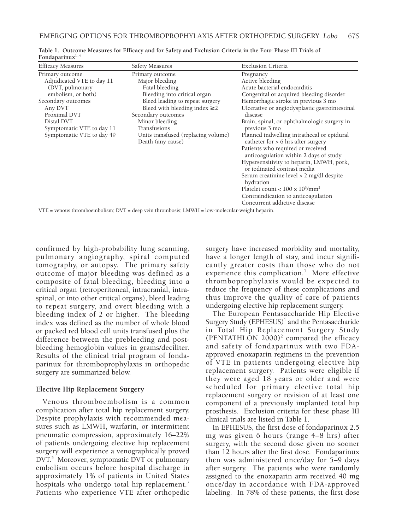| <b>Efficacy Measures</b>                                                                                                                                                                                       | Safety Measures                                                                                                                                                                                                                                                                  | <b>Exclusion Criteria</b>                                                                                                                                                                                                                                                                                                                                                                                                                         |
|----------------------------------------------------------------------------------------------------------------------------------------------------------------------------------------------------------------|----------------------------------------------------------------------------------------------------------------------------------------------------------------------------------------------------------------------------------------------------------------------------------|---------------------------------------------------------------------------------------------------------------------------------------------------------------------------------------------------------------------------------------------------------------------------------------------------------------------------------------------------------------------------------------------------------------------------------------------------|
| Primary outcome<br>Adjudicated VTE to day 11<br>(DVT, pulmonary<br>embolism, or both)<br>Secondary outcomes<br>Any DVT<br>Proximal DVT<br>Distal DVT<br>Symptomatic VTE to day 11<br>Symptomatic VTE to day 49 | Primary outcome<br>Major bleeding<br>Fatal bleeding<br>Bleeding into critical organ<br>Bleed leading to repeat surgery<br>Bleed with bleeding index $\geq 2$<br>Secondary outcomes<br>Minor bleeding<br>Transfusions<br>Units transfused (replacing volume)<br>Death (any cause) | Pregnancy<br>Active bleeding<br>Acute bacterial endocarditis<br>Congenital or acquired bleeding disorder<br>Hemorrhagic stroke in previous 3 mo<br>Ulcerative or angiodysplastic gastrointestinal<br>disease<br>Brain, spinal, or ophthalmologic surgery in<br>previous 3 mo<br>Planned indwelling intrathecal or epidural<br>catheter for $> 6$ hrs after surgery<br>Patients who required or received<br>anticoagulation within 2 days of study |
|                                                                                                                                                                                                                |                                                                                                                                                                                                                                                                                  | Hypersensitivity to heparin, LMWH, pork,<br>or iodinated contrast media<br>Serum creatinine level > 2 mg/dl despite<br>hydration<br>Platelet count < $100 \times 10^{3}$ /mm <sup>3</sup><br>Contraindication to anticoagulation<br>Concurrent addictive disease                                                                                                                                                                                  |

**Table 1. Outcome Measures for Efficacy and for Safety and Exclusion Criteria in the Four Phase III Trials of Fondaparinux1–4**

VTE = venous thromboembolism; DVT = deep vein thrombosis; LMWH = low-molecular-weight heparin.

confirmed by high-probability lung scanning, pulmonary angiography, spiral computed tomography, or autopsy. The primary safety outcome of major bleeding was defined as a composite of fatal bleeding, bleeding into a critical organ (retroperitoneal, intracranial, intraspinal, or into other critical organs), bleed leading to repeat surgery, and overt bleeding with a bleeding index of 2 or higher. The bleeding index was defined as the number of whole blood or packed red blood cell units transfused plus the difference between the prebleeding and postbleeding hemoglobin values in grams/deciliter. Results of the clinical trial program of fondaparinux for thromboprophylaxis in orthopedic surgery are summarized below.

### **Elective Hip Replacement Surgery**

Venous thromboembolism is a common complication after total hip replacement surgery. Despite prophylaxis with recommended measures such as LMWH, warfarin, or intermittent pneumatic compression, approximately 16–22% of patients undergoing elective hip replacement surgery will experience a venographically proved DVT.<sup>5</sup> Moreover, symptomatic DVT or pulmonary embolism occurs before hospital discharge in approximately 1% of patients in United States hospitals who undergo total hip replacement.<sup>7</sup> Patients who experience VTE after orthopedic

surgery have increased morbidity and mortality, have a longer length of stay, and incur significantly greater costs than those who do not experience this complication.<sup>7</sup> More effective thromboprophylaxis would be expected to reduce the frequency of these complications and thus improve the quality of care of patients undergoing elective hip replacement surgery.

The European Pentasaccharide Hip Elective Surgery Study  $(EPHESUS)^1$  and the Pentasaccharide in Total Hip Replacement Surgery Study  $(PENTATHLON 2000)<sup>2</sup>$  compared the efficacy and safety of fondaparinux with two FDAapproved enoxaparin regimens in the prevention of VTE in patients undergoing elective hip replacement surgery. Patients were eligible if they were aged 18 years or older and were scheduled for primary elective total hip replacement surgery or revision of at least one component of a previously implanted total hip prosthesis. Exclusion criteria for these phase III clinical trials are listed in Table 1.

In EPHESUS, the first dose of fondaparinux 2.5 mg was given 6 hours (range 4–8 hrs) after surgery, with the second dose given no sooner than 12 hours after the first dose. Fondaparinux then was administered once/day for 5–9 days after surgery. The patients who were randomly assigned to the enoxaparin arm received 40 mg once/day in accordance with FDA-approved labeling. In 78% of these patients, the first dose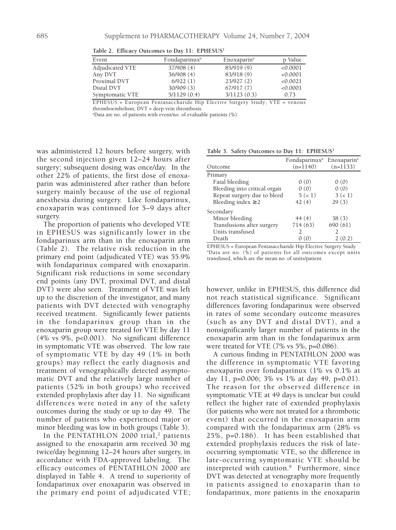| Event           | Fondaparinux <sup>a</sup> | Enoxaparin <sup>a</sup> | p Value  |
|-----------------|---------------------------|-------------------------|----------|
| Adjudicated VTE | 37/908(4)                 | 85/919 (9)              | < 0.0001 |
| Any DVT         | 36/908(4)                 | 83/918 (9)              | < 0.0001 |
| Proximal DVT    | 6/922(1)                  | 23/927(2)               | < 0.0021 |
| Distal DVT      | 30/909(3)                 | 67/917(7)               | < 0.0001 |
| Symptomatic VTE | 5/1129(0.4)               | 3/1123(0.3)             | 0.73     |

**Table 2. Efficacy Outcomes to Day 11: EPHESUS1**

EPHESUS = European Pentasaccharide Hip Elective Surgery Study; VTE = venous thromboembolism; DVT = deep vein thrombosis.

a Data are no. of patients with event/no. of evaluable patients (%).

was administered 12 hours before surgery, with the second injection given 12–24 hours after surgery; subsequent dosing was once/day. In the other 22% of patients, the first dose of enoxaparin was administered after rather than before surgery mainly because of the use of regional anesthesia during surgery. Like fondaparinux, enoxaparin was continued for 5–9 days after surgery.

The proportion of patients who developed VTE in EPHESUS was significantly lower in the fondaparinux arm than in the enoxaparin arm (Table 2). The relative risk reduction in the primary end point (adjudicated VTE) was 55.9% with fondaparinux compared with enoxaparin. Significant risk reductions in some secondary end points (any DVT, proximal DVT, and distal DVT) were also seen. Treatment of VTE was left up to the discretion of the investigator, and many patients with DVT detected with venography received treatment. Significantly fewer patients in the fondaparinux group than in the enoxaparin group were treated for VTE by day 11 (4% vs 9%, p<0.001). No significant difference in symptomatic VTE was observed. The low rate of symptomatic VTE by day 49 (1% in both groups) may reflect the early diagnosis and treatment of venographically detected asymptomatic DVT and the relatively large number of patients (52% in both groups) who received extended prophylaxis after day 11. No significant differences were noted in any of the safety outcomes during the study or up to day 49. The number of patients who experienced major or minor bleeding was low in both groups (Table 3).

In the PENTATHLON 2000 trial, $<sup>2</sup>$  patients</sup> assigned to the enoxaparin arm received 30 mg twice/day beginning 12–24 hours after surgery, in accordance with FDA-approved labeling. The efficacy outcomes of PENTATHLON 2000 are displayed in Table 4. A trend to superiority of fondaparinux over enoxaparin was observed in the primary end point of adjudicated VTE;

**Table 3. Safety Outcomes to Day 11: EPHESUS1**

|                              | Fondaparinux <sup>a</sup> Enoxaparin <sup>a</sup> |               |
|------------------------------|---------------------------------------------------|---------------|
| Outcome                      | $(n=1140)$                                        | $(n=1133)$    |
| Primary                      |                                                   |               |
| Fatal bleeding               | 0(0)                                              | 0(0)          |
| Bleeding into critical organ | 0(0)                                              | 0(0)          |
| Repeat surgery due to bleed  | 5(1)                                              | 3(<1)         |
| Bleeding index $\geq 2$      | 42(4)                                             | 29(3)         |
| Secondary                    |                                                   |               |
| Minor bleeding               | 44(4)                                             | 38(3)         |
| Transfusions after surgery   | 714 (63)                                          | 690 (61)      |
| Units transfused             | $\mathcal{D}_{\mathcal{A}}$                       | $\mathcal{L}$ |
| Death                        | 0(0)                                              | 2(0.2)        |

EPHESUS = European Pentasaccharide Hip Elective Surgery Study. a Data are no. (%) of patients for all outcomes except units transfused, which are the mean no. of units/patient.

however, unlike in EPHESUS, this difference did not reach statistical significance. Significant differences favoring fondaparinux were observed in rates of some secondary outcome measures (such as any DVT and distal DVT), and a nonsignificantly larger number of patients in the enoxaparin arm than in the fondaparinux arm were treated for VTE (7% vs 5%, p=0.086).

A curious finding in PENTATHLON 2000 was the difference in symptomatic VTE favoring enoxaparin over fondaparinux (1% vs 0.1% at day 11, p=0.006; 3% vs 1% at day 49, p=0.01). The reason for the observed difference in symptomatic VTE at 49 days is unclear but could reflect the higher rate of extended prophylaxis (for patients who were not treated for a thrombotic event) that occurred in the enoxaparin arm compared with the fondaparinux arm (28% vs 25%, p=0.186). It has been established that extended prophylaxis reduces the risk of lateoccurring symptomatic VTE, so the difference in late-occurring symptomatic VTE should be interpreted with caution.<sup>8</sup> Furthermore, since DVT was detected at venography more frequently in patients assigned to enoxaparin than to fondaparinux, more patients in the enoxaparin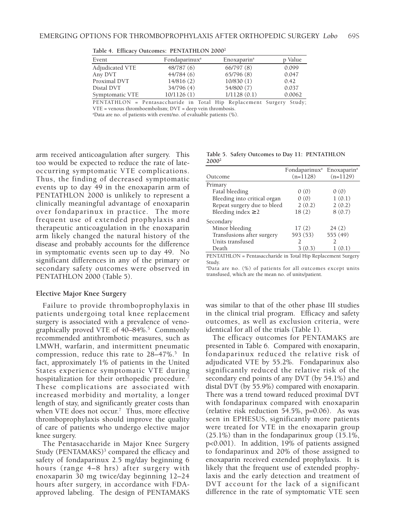| Event           | Fondaparinux <sup>a</sup> | Enoxaparin <sup>a</sup> | p Value |
|-----------------|---------------------------|-------------------------|---------|
| Adjudicated VTE | 48/787(6)                 | 66/797(8)               | 0.099   |
| Any DVT         | 44/784(6)                 | 65/796(8)               | 0.047   |
| Proximal DVT    | 14/816(2)                 | 10/830(1)               | 0.42    |
| Distal DVT      | 34/796 (4)                | 54/800 (7)              | 0.037   |
| Symptomatic VTE | 10/1126(1)                | 1/1128(0.1)             | 0.0062  |
|                 |                           |                         |         |

**Table 4. Efficacy Outcomes: PENTATHLON 20002**

PENTATHLON = Pentasaccharide in Total Hip Replacement Surgery Study; VTE = venous thromboembolism; DVT = deep vein thrombosis.

a Data are no. of patients with event/no. of evaluable patients (%).

arm received anticoagulation after surgery. This too would be expected to reduce the rate of lateoccurring symptomatic VTE complications. Thus, the finding of decreased symptomatic events up to day 49 in the enoxaparin arm of PENTATHLON 2000 is unlikely to represent a clinically meaningful advantage of enoxaparin over fondaparinux in practice. The more frequent use of extended prophylaxis and therapeutic anticoagulation in the enoxaparin arm likely changed the natural history of the disease and probably accounts for the difference in symptomatic events seen up to day 49. No significant differences in any of the primary or secondary safety outcomes were observed in PENTATHLON 2000 (Table 5).

#### **Elective Major Knee Surgery**

Failure to provide thromboprophylaxis in patients undergoing total knee replacement surgery is associated with a prevalence of venographically proved VTE of  $40-84\%$ <sup>5</sup> Commonly recommended antithrombotic measures, such as LMWH, warfarin, and intermittent pneumatic compression, reduce this rate to  $28-47\%$ .<sup>5</sup> In fact, approximately 1% of patients in the United States experience symptomatic VTE during hospitalization for their orthopedic procedure. These complications are associated with increased morbidity and mortality, a longer length of stay, and significantly greater costs than when VTE does not occur.<sup>7</sup> Thus, more effective thromboprophylaxis should improve the quality of care of patients who undergo elective major knee surgery.

The Pentasaccharide in Major Knee Surgery Study (PENTAMAKS)<sup>3</sup> compared the efficacy and safety of fondaparinux 2.5 mg/day beginning 6 hours (range 4–8 hrs) after surgery with enoxaparin 30 mg twice/day beginning 12–24 hours after surgery, in accordance with FDAapproved labeling. The design of PENTAMAKS

**Table 5. Safety Outcomes to Day 11: PENTATHLON 20002**

| Outcome                      | Fondaparinux <sup>a</sup> Enoxaparin <sup>a</sup><br>$(n=1128)$ | $(n=1129)$ |
|------------------------------|-----------------------------------------------------------------|------------|
| Primary                      |                                                                 |            |
| Fatal bleeding               | 0(0)                                                            | 0(0)       |
| Bleeding into critical organ | 0(0)                                                            | 1(0.1)     |
| Repeat surgery due to bleed  | 2(0.2)                                                          | 2(0.2)     |
| Bleeding index $\geq 2$      | 18(2)                                                           | 8(0.7)     |
| Secondary                    |                                                                 |            |
| Minor bleeding               | 17(2)                                                           | 24(2)      |
| Transfusions after surgery   | 593 (53)                                                        | 555 (49)   |
| Units transfused             | 2                                                               | 2          |
| Death                        | 3(0.3)                                                          | 1(0.1)     |

PENTATHLON = Pentasaccharide in Total Hip Replacement Surgery Study.

a Data are no. (%) of patients for all outcomes except units transfused, which are the mean no. of units/patient.

was similar to that of the other phase III studies in the clinical trial program. Efficacy and safety outcomes, as well as exclusion criteria, were identical for all of the trials (Table 1).

The efficacy outcomes for PENTAMAKS are presented in Table 6. Compared with enoxaparin, fondaparinux reduced the relative risk of adjudicated VTE by 55.2%. Fondaparinux also significantly reduced the relative risk of the secondary end points of any DVT (by 54.1%) and distal DVT (by 55.9%) compared with enoxaparin. There was a trend toward reduced proximal DVT with fondaparinux compared with enoxaparin (relative risk reduction 54.5%, p=0.06). As was seen in EPHESUS, significantly more patients were treated for VTE in the enoxaparin group (25.1%) than in the fondaparinux group (15.1%, p<0.001). In addition, 19% of patients assigned to fondaparinux and 20% of those assigned to enoxaparin received extended prophylaxis. It is likely that the frequent use of extended prophylaxis and the early detection and treatment of DVT account for the lack of a significant difference in the rate of symptomatic VTE seen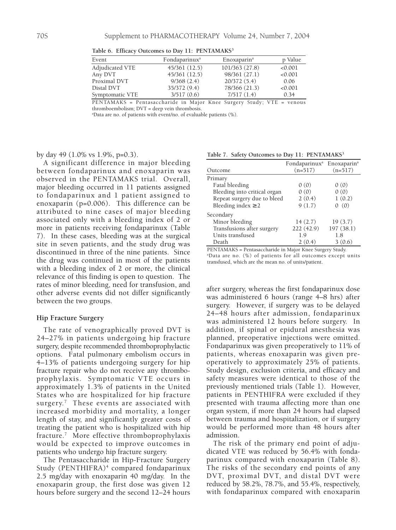| Event           | Fondaparinux <sup>a</sup> | Enoxaparin <sup>a</sup> | p Value |
|-----------------|---------------------------|-------------------------|---------|
| Adjudicated VTE | 45/361 (12.5)             | 101/363 (27.8)          | < 0.001 |
| Any DVT         | 45/361 (12.5)             | 98/361 (27.1)           | < 0.001 |
| Proximal DVT    | 9/368(2.4)                | 20/372(5.4)             | 0.06    |
| Distal DVT      | 35/372 (9.4)              | 78/366 (21.3)           | < 0.001 |
| Symptomatic VTE | 3/517(0.6)                | 7/517(1.4)              | 0.34    |

Table 6. Efficacy Outcomes to Day 11: PENTAMAKS<sup>3</sup>

PENTAMAKS = Pentasaccharide in Major Knee Surgery Study; VTE = venous thromboembolism; DVT = deep vein thrombosis.

a Data are no. of patients with event/no. of evaluable patients (%).

by day 49 (1.0% vs 1.9%, p=0.3).

A significant difference in major bleeding between fondaparinux and enoxaparin was observed in the PENTAMAKS trial. Overall, major bleeding occurred in 11 patients assigned to fondaparinux and 1 patient assigned to enoxaparin (p=0.006). This difference can be attributed to nine cases of major bleeding associated only with a bleeding index of 2 or more in patients receiving fondaparinux (Table 7). In these cases, bleeding was at the surgical site in seven patients, and the study drug was discontinued in three of the nine patients. Since the drug was continued in most of the patients with a bleeding index of 2 or more, the clinical relevance of this finding is open to question. The rates of minor bleeding, need for transfusion, and other adverse events did not differ significantly between the two groups.

#### **Hip Fracture Surgery**

The rate of venographically proved DVT is 24–27% in patients undergoing hip fracture surgery, despite recommended thromboprophylactic options. Fatal pulmonary embolism occurs in 4–13% of patients undergoing surgery for hip fracture repair who do not receive any thromboprophylaxis. Symptomatic VTE occurs in approximately 1.3% of patients in the United States who are hospitalized for hip fracture surgery.<sup>7</sup> These events are associated with increased morbidity and mortality, a longer length of stay, and significantly greater costs of treating the patient who is hospitalized with hip fracture.7 More effective thromboprophylaxis would be expected to improve outcomes in patients who undergo hip fracture surgery.

The Pentasaccharide in Hip-Fracture Surgery Study (PENTHIFRA)<sup>4</sup> compared fondaparinux 2.5 mg/day with enoxaparin 40 mg/day. In the enoxaparin group, the first dose was given 12 hours before surgery and the second 12–24 hours

Table 7. Safety Outcomes to Day 11: PENTAMAKS<sup>3</sup>

|                              | Fondaparinux <sup>a</sup> Enoxaparin <sup>a</sup> |           |
|------------------------------|---------------------------------------------------|-----------|
| Outcome                      | $(n=517)$                                         | $(n=517)$ |
| Primary                      |                                                   |           |
| Fatal bleeding               | 0(0)                                              | 0(0)      |
| Bleeding into critical organ | 0(0)                                              | 0(0)      |
| Repeat surgery due to bleed  | 2(0.4)                                            | 1(0.2)    |
| Bleeding index $\geq 2$      | 9(1.7)                                            | 0(0)      |
| Secondary                    |                                                   |           |
| Minor bleeding               | 14(2.7)                                           | 19(3.7)   |
| Transfusions after surgery   | 222(42.9)                                         | 197(38.1) |
| Units transfused             | 1.9                                               | 1.8       |
| Death                        | 2(0.4)                                            | 3(0.6)    |

PENTAMAKS = Pentasaccharide in Major Knee Surgery Study. a Data are no. (%) of patients for all outcomes except units transfused, which are the mean no. of units/patient.

after surgery, whereas the first fondaparinux dose was administered 6 hours (range 4–8 hrs) after surgery. However, if surgery was to be delayed 24–48 hours after admission, fondaparinux was administered 12 hours before surgery. In addition, if spinal or epidural anesthesia was planned, preoperative injections were omitted. Fondaparinux was given preoperatively to 11% of patients, whereas enoxaparin was given preoperatively to approximately 25% of patients. Study design, exclusion criteria, and efficacy and safety measures were identical to those of the previously mentioned trials (Table 1). However, patients in PENTHIFRA were excluded if they presented with trauma affecting more than one organ system, if more than 24 hours had elapsed between trauma and hospitalization, or if surgery would be performed more than 48 hours after admission.

The risk of the primary end point of adjudicated VTE was reduced by 56.4% with fondaparinux compared with enoxaparin (Table 8). The risks of the secondary end points of any DVT, proximal DVT, and distal DVT were reduced by 58.2%, 78.7%, and 55.4%, respectively, with fondaparinux compared with enoxaparin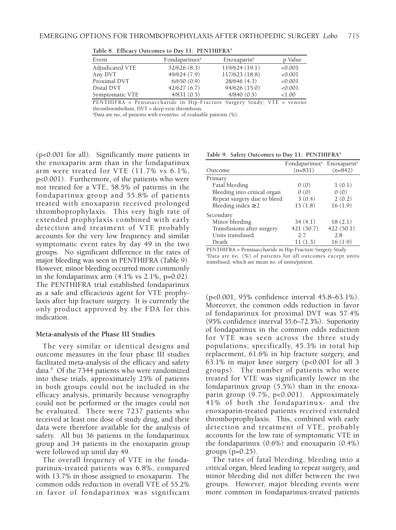| Event           | Fondaparinux <sup>a</sup> | Enoxaparin <sup>a</sup> | p Value   |
|-----------------|---------------------------|-------------------------|-----------|
| Adjudicated VTE | 52/626(8.3)               | 119/624 (19.1)          | < 0.001   |
| Any DVT         | 49/624 (7.9)              | 117/623 (18.8)          | < 0.001   |
| Proximal DVT    | 6/650(0.9)                | 28/646 (4.3)            | < 0.001   |
| Distal DVT      | 42/627(6.7)               | 94/626 (15.0)           | < 0.001   |
| Symptomatic VTE | 4/831(0.5)                | 4/840(0.5)              | ${<}1.00$ |
|                 |                           |                         |           |

**Table 8. Efficacy Outcomes to Day 11: PENTHIFRA4**

PENTHIFRA = Pentasaccharide in Hip-Fracture Surgery Study; VTE = venous thromboembolism; DVT = deep vein thrombosis.

a Data are no. of patients with event/no. of evaluable patients (%).

(p<0.001 for all). Significantly more patients in the enoxaparin arm than in the fondaparinux arm were treated for VTE (11.7% vs 6.1%, p<0.001). Furthermore, of the patients who were not treated for a VTE, 58.5% of patients in the fondaparinux group and 55.8% of patients treated with enoxaparin received prolonged thromboprophylaxis. This very high rate of extended prophylaxis combined with early detection and treatment of VTE probably accounts for the very low frequency and similar symptomatic event rates by day 49 in the two groups. No significant difference in the rates of major bleeding was seen in PENTHIFRA (Table 9). However, minor bleeding occurred more commonly in the fondaparinux arm  $(4.1\% \text{ vs } 2.1\%, \text{p=0.02}).$ The PENTHIFRA trial established fondaparinux as a safe and efficacious agent for VTE prophylaxis after hip fracture surgery. It is currently the only product approved by the FDA for this indication.

#### **Meta-analysis of the Phase III Studies**

The very similar or identical designs and outcome measures in the four phase III studies facilitated meta-analysis of the efficacy and safety data.9 Of the 7344 patients who were randomized into these trials, approximately 25% of patients in both groups could not be included in the efficacy analysis, primarily because venography could not be performed or the images could not be evaluated. There were 7237 patients who received at least one dose of study drug, and their data were therefore available for the analysis of safety. All but 36 patients in the fondaparinux group and 34 patients in the enoxaparin group were followed up until day 49.

The overall frequency of VTE in the fondaparinux-treated patients was 6.8%, compared with 13.7% in those assigned to enoxaparin. The common odds reduction in overall VTE of 55.2% in favor of fondaparinux was significant

|  |  |  |  |  | Table 9. Safety Outcomes to Day 11: PENTHIFRA <sup>4</sup> |
|--|--|--|--|--|------------------------------------------------------------|
|--|--|--|--|--|------------------------------------------------------------|

|                              | Fondaparinux <sup>a</sup> Enoxaparin <sup>a</sup> |           |
|------------------------------|---------------------------------------------------|-----------|
| Outcome                      | $(n=831)$                                         | $(n=842)$ |
| Primary                      |                                                   |           |
| Fatal bleeding               | 0(0)                                              | 1(0.1)    |
| Bleeding into critical organ | 0(0)                                              | 0(0)      |
| Repeat surgery due to bleed  | 3(0.4)                                            | 2(0.2)    |
| Bleeding index $\geq 2$      | 15(1.8)                                           | 16(1.9)   |
| Secondary                    |                                                   |           |
| Minor bleeding               | 34(4.1)                                           | 18(2.1)   |
| Transfusions after surgery   | 421 (50.7)                                        | 422(50.1) |
| Units transfused             | 2.7                                               | 2.8       |
| Death                        | 11(1.3)                                           | 16(1.9)   |

PENTHIFRA = Pentasaccharide in Hip-Fracture Surgery Study. a Data are no. (%) of patients for all outcomes except units transfused, which are mean no. of units/patient.

(p<0.001, 95% confidence interval 45.8–63.1%). Moreover, the common odds reduction in favor of fondaparinux for proximal DVT was 57.4% (95% confidence interval 35.6–72.3%). Superiority of fondaparinux in the common odds reduction for VTE was seen across the three study populations; specifically, 45.3% in total hip replacement, 61.6% in hip fracture surgery, and 63.1% in major knee surgery (p<0.001 for all 3 groups). The number of patients who were treated for VTE was significantly lower in the fondaparinux group (5.5%) than in the enoxaparin group (9.7%, p<0.001). Approximately 41% of both the fondaparinux- and the enoxaparin-treated patients received extended thromboprophylaxis. This, combined with early detection and treatment of VTE, probably accounts for the low rate of symptomatic VTE in the fondaparinux (0.6%) and enoxaparin (0.4%) groups  $(p=0.25)$ .

The rates of fatal bleeding, bleeding into a critical organ, bleed leading to repeat surgery, and minor bleeding did not differ between the two groups. However, major bleeding events were more common in fondaparinux-treated patients